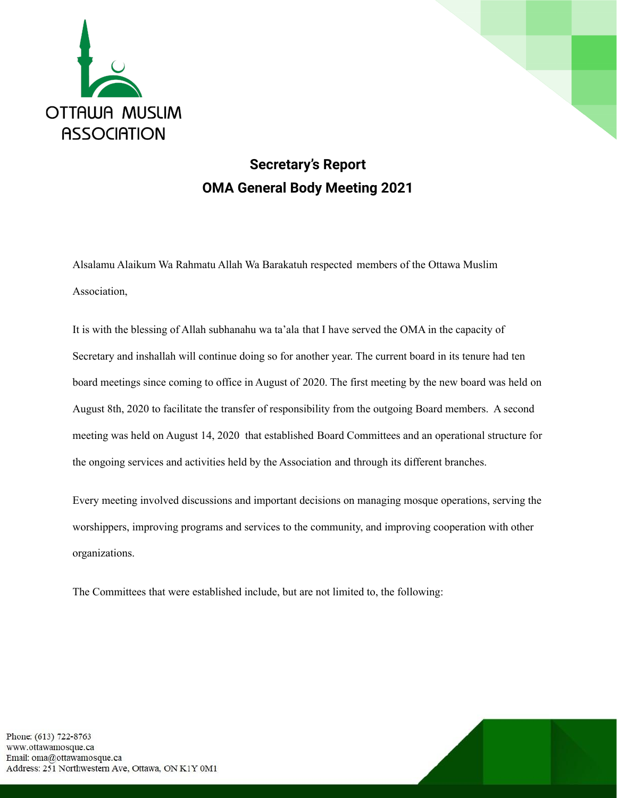

## **Secretary's Report OMA General Body Meeting 2021**

Alsalamu Alaikum Wa Rahmatu Allah Wa Barakatuh respected members of the Ottawa Muslim Association,

It is with the blessing of Allah subhanahu wa ta'ala that I have served the OMA in the capacity of Secretary and inshallah will continue doing so for another year. The current board in its tenure had ten board meetings since coming to office in August of 2020. The first meeting by the new board was held on August 8th, 2020 to facilitate the transfer of responsibility from the outgoing Board members. A second meeting was held on August 14, 2020 that established Board Committees and an operational structure for the ongoing services and activities held by the Association and through its different branches.

Every meeting involved discussions and important decisions on managing mosque operations, serving the worshippers, improving programs and services to the community, and improving cooperation with other organizations.

The Committees that were established include, but are not limited to, the following: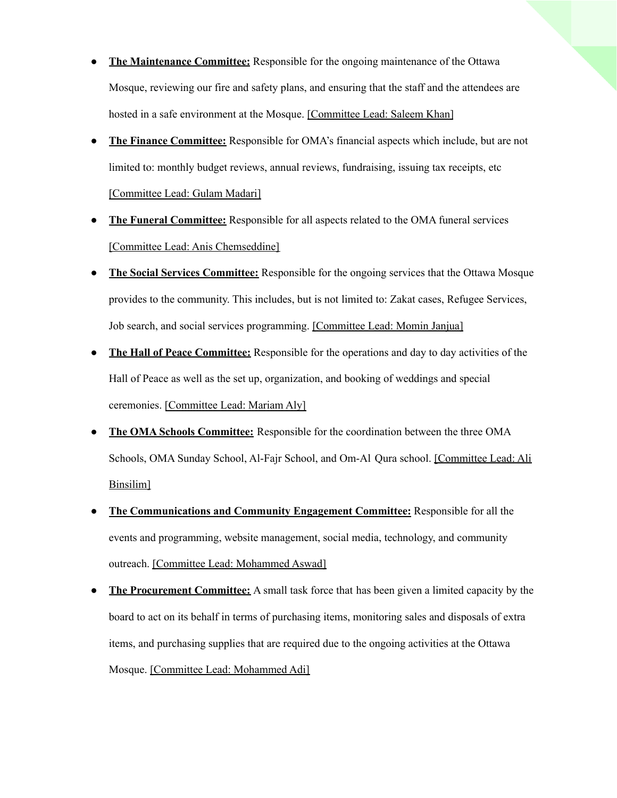- **The Maintenance Committee:** Responsible for the ongoing maintenance of the Ottawa Mosque, reviewing our fire and safety plans, and ensuring that the staff and the attendees are hosted in a safe environment at the Mosque. [Committee Lead: Saleem Khan]
- **The Finance Committee:** Responsible for OMA's financial aspects which include, but are not limited to: monthly budget reviews, annual reviews, fundraising, issuing tax receipts, etc [Committee Lead: Gulam Madari]
- **The Funeral Committee:** Responsible for all aspects related to the OMA funeral services [Committee Lead: Anis Chemseddine]
- **The Social Services Committee:** Responsible for the ongoing services that the Ottawa Mosque provides to the community. This includes, but is not limited to: Zakat cases, Refugee Services, Job search, and social services programming. [Committee Lead: Momin Janjua]
- **The Hall of Peace Committee:** Responsible for the operations and day to day activities of the Hall of Peace as well as the set up, organization, and booking of weddings and special ceremonies. [Committee Lead: Mariam Aly]
- **The OMA Schools Committee:** Responsible for the coordination between the three OMA Schools, OMA Sunday School, Al-Fajr School, and Om-Al Qura school. [Committee Lead: Ali Binsilim]
- **The Communications and Community Engagement Committee:** Responsible for all the events and programming, website management, social media, technology, and community outreach. [Committee Lead: Mohammed Aswad]
- **The Procurement Committee:** A small task force that has been given a limited capacity by the board to act on its behalf in terms of purchasing items, monitoring sales and disposals of extra items, and purchasing supplies that are required due to the ongoing activities at the Ottawa Mosque. [Committee Lead: Mohammed Adi]